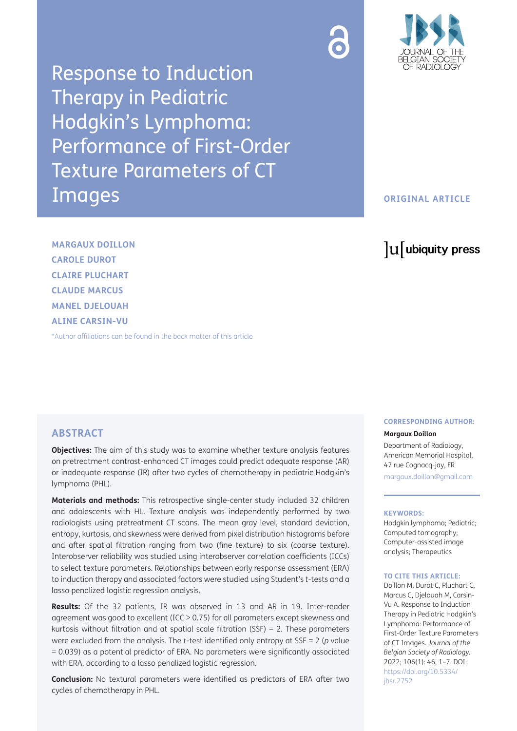

Response to Induction Therapy in Pediatric Hodgkin's Lymphoma: Performance of First-Order Texture Parameters of CT Images

# **ORIGINAL ARTICLE**

# lu ubiquity press

**MARGAUX DOILLON CAROLE DUROT CLAIRE PLUCHART CLAUDE MARCUS MANEL DJELOUAH ALINE CARSIN-VU**

[\\*Author affiliations can be found in the back matter of this article](#page-5-0)

## **ABSTRACT**

**Objectives:** The aim of this study was to examine whether texture analysis features on pretreatment contrast-enhanced CT images could predict adequate response (AR) or inadequate response (IR) after two cycles of chemotherapy in pediatric Hodgkin's lymphoma (PHL).

**Materials and methods:** This retrospective single-center study included 32 children and adolescents with HL. Texture analysis was independently performed by two radiologists using pretreatment CT scans. The mean gray level, standard deviation, entropy, kurtosis, and skewness were derived from pixel distribution histograms before and after spatial filtration ranging from two (fine texture) to six (coarse texture). Interobserver reliability was studied using interobserver correlation coefficients (ICCs) to select texture parameters. Relationships between early response assessment (ERA) to induction therapy and associated factors were studied using Student's *t*-tests and a lasso penalized logistic regression analysis.

**Results:** Of the 32 patients, IR was observed in 13 and AR in 19. Inter-reader agreement was good to excellent (ICC > 0.75) for all parameters except skewness and kurtosis without filtration and at spatial scale filtration (SSF) = 2. These parameters were excluded from the analysis. The *t*-test identified only entropy at SSF = 2 (*p* value = 0.039) as a potential predictor of ERA. No parameters were significantly associated with ERA, according to a lasso penalized logistic regression.

**Conclusion:** No textural parameters were identified as predictors of ERA after two cycles of chemotherapy in PHL.

# **CORRESPONDING AUTHOR:**

**Margaux Doillon**

Department of Radiology, American Memorial Hospital, 47 rue Cognacq-jay, FR [margaux.doillon@gmail.com](mailto:margaux.doillon@gmail.com)

#### **KEYWORDS:**

Hodgkin lymphoma; Pediatric; Computed tomography; Computer-assisted image analysis; Therapeutics

#### **TO CITE THIS ARTICLE:**

Doillon M, Durot C, Pluchart C, Marcus C, Djelouah M, Carsin-Vu A. Response to Induction Therapy in Pediatric Hodgkin's Lymphoma: Performance of First-Order Texture Parameters of CT Images. *Journal of the Belgian Society of Radiology.* 2022; 106(1): 46, 1–7. DOI: [https://doi.org/10.5334/](https://doi.org/10.5334/jbsr.2752) [jbsr.2752](https://doi.org/10.5334/jbsr.2752)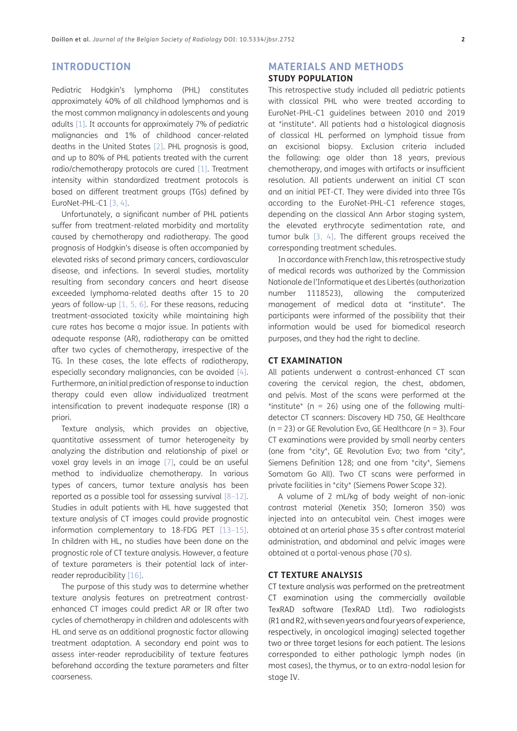# **INTRODUCTION**

Pediatric Hodgkin's lymphoma (PHL) constitutes approximately 40% of all childhood lymphomas and is the most common malignancy in adolescents and young adults [\[1](#page-5-1)]. It accounts for approximately 7% of pediatric malignancies and 1% of childhood cancer-related deaths in the United States [[2](#page-5-2)]. PHL prognosis is good, and up to 80% of PHL patients treated with the current radio/chemotherapy protocols are cured [[1\]](#page-5-1). Treatment intensity within standardized treatment protocols is based on different treatment groups (TGs) defined by EuroNet-PHL-C1 [3, 4].

Unfortunately, a significant number of PHL patients suffer from treatment-related morbidity and mortality caused by chemotherapy and radiotherapy. The good prognosis of Hodgkin's disease is often accompanied by elevated risks of second primary cancers, cardiovascular disease, and infections. In several studies, mortality resulting from secondary cancers and heart disease exceeded lymphoma-related deaths after 15 to 20 years of follow-up [[1,](#page-5-1) [5](#page-5-3), [6\]](#page-5-4). For these reasons, reducing treatment-associated toxicity while maintaining high cure rates has become a major issue. In patients with adequate response (AR), radiotherapy can be omitted after two cycles of chemotherapy, irrespective of the TG. In these cases, the late effects of radiotherapy, especially secondary malignancies, can be avoided [4]. Furthermore, an initial prediction of response to induction therapy could even allow individualized treatment intensification to prevent inadequate response (IR) a priori.

Texture analysis, which provides an objective, quantitative assessment of tumor heterogeneity by analyzing the distribution and relationship of pixel or voxel gray levels in an image [[7](#page-5-5)], could be an useful method to individualize chemotherapy. In various types of cancers, tumor texture analysis has been reported as a possible tool for assessing survival [8–12]. Studies in adult patients with HL have suggested that texture analysis of CT images could provide prognostic information complementary to 18-FDG PET [[13](#page-6-0)–15]. In children with HL, no studies have been done on the prognostic role of CT texture analysis. However, a feature of texture parameters is their potential lack of interreader reproducibility [[16](#page-6-1)].

The purpose of this study was to determine whether texture analysis features on pretreatment contrastenhanced CT images could predict AR or IR after two cycles of chemotherapy in children and adolescents with HL and serve as an additional prognostic factor allowing treatment adaptation. A secondary end point was to assess inter-reader reproducibility of texture features beforehand according the texture parameters and filter coarseness.

# **MATERIALS AND METHODS STUDY POPULATION**

This retrospective study included all pediatric patients with classical PHL who were treated according to EuroNet-PHL-C1 guidelines between 2010 and 2019 at \*institute\*. All patients had a histological diagnosis of classical HL performed on lymphoid tissue from an excisional biopsy. Exclusion criteria included the following: age older than 18 years, previous chemotherapy, and images with artifacts or insufficient resolution. All patients underwent an initial CT scan and an initial PET-CT. They were divided into three TGs according to the EuroNet-PHL-C1 reference stages, depending on the classical Ann Arbor staging system, the elevated erythrocyte sedimentation rate, and tumor bulk [3, 4]. The different groups received the corresponding treatment schedules.

In accordance with French law, this retrospective study of medical records was authorized by the Commission Nationale de l'Informatique et des Libertés (authorization number 1118523), allowing the computerized management of medical data at \*institute\*. The participants were informed of the possibility that their information would be used for biomedical research purposes, and they had the right to decline.

### **CT EXAMINATION**

All patients underwent a contrast-enhanced CT scan covering the cervical region, the chest, abdomen, and pelvis. Most of the scans were performed at the \*institute\* (n = 26) using one of the following multidetector CT scanners: Discovery HD 750, GE Healthcare  $(n = 23)$  or GE Revolution Evo, GE Healthcare  $(n = 3)$ . Four CT examinations were provided by small nearby centers (one from \*city\*, GE Revolution Evo; two from \*city\*, Siemens Definition 128; and one from \*city\*, Siemens Somatom Go All). Two CT scans were performed in private facilities in \*city\* (Siemens Power Scope 32).

A volume of 2 mL/kg of body weight of non-ionic contrast material (Xenetix 350; Iomeron 350) was injected into an antecubital vein. Chest images were obtained at an arterial phase 35 s after contrast material administration, and abdominal and pelvic images were obtained at a portal-venous phase (70 s).

### **CT TEXTURE ANALYSIS**

CT texture analysis was performed on the pretreatment CT examination using the commercially available TexRAD software (TexRAD Ltd). Two radiologists (R1 and R2, with seven years and four years of experience, respectively, in oncological imaging) selected together two or three target lesions for each patient. The lesions corresponded to either pathologic lymph nodes (in most cases), the thymus, or to an extra-nodal lesion for stage IV.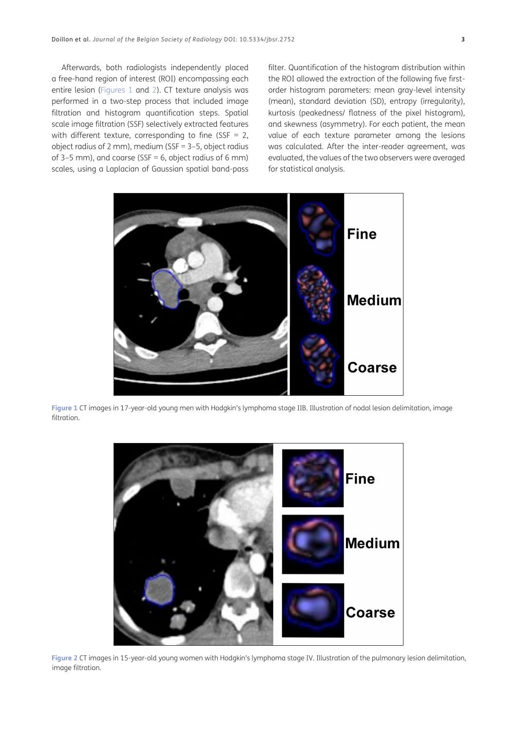Afterwards, both radiologists independently placed a free-hand region of interest (ROI) encompassing each entire lesion ([Figures 1](#page-2-0) and [2\)](#page-2-1). CT texture analysis was performed in a two-step process that included image filtration and histogram quantification steps. Spatial scale image filtration (SSF) selectively extracted features with different texture, corresponding to fine (SSF = 2, object radius of 2 mm), medium (SSF = 3–5, object radius of 3–5 mm), and coarse (SSF = 6, object radius of 6 mm) scales, using a Laplacian of Gaussian spatial band-pass

filter. Quantification of the histogram distribution within the ROI allowed the extraction of the following five firstorder histogram parameters: mean gray-level intensity (mean), standard deviation (SD), entropy (irregularity), kurtosis (peakedness/ flatness of the pixel histogram), and skewness (asymmetry). For each patient, the mean value of each texture parameter among the lesions was calculated. After the inter-reader agreement, was evaluated, the values of the two observers were averaged for statistical analysis.



<span id="page-2-0"></span>**Figure 1** CT images in 17-year-old young men with Hodgkin's lymphoma stage IIB. Illustration of nodal lesion delimitation, image filtration.

<span id="page-2-1"></span>

**Figure 2** CT images in 15-year-old young women with Hodgkin's lymphoma stage IV. Illustration of the pulmonary lesion delimitation, image filtration.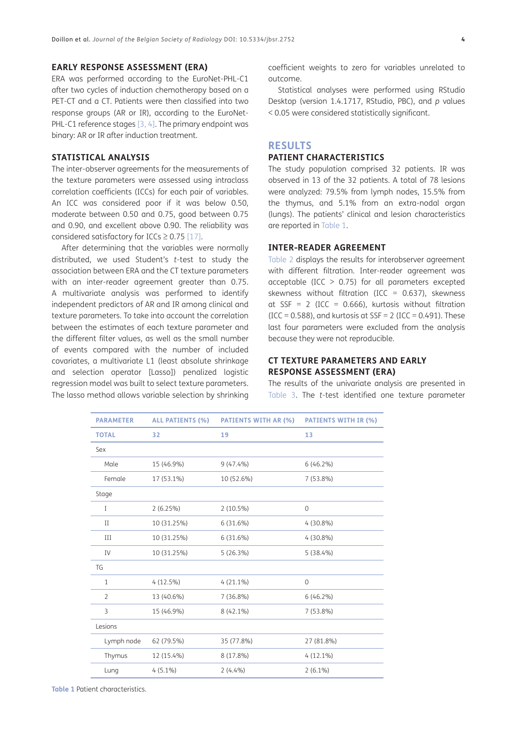### **EARLY RESPONSE ASSESSMENT (ERA)**

ERA was performed according to the EuroNet-PHL-C1 after two cycles of induction chemotherapy based on a PET-CT and a CT. Patients were then classified into two response groups (AR or IR), according to the EuroNet-PHL-C1 reference stages [3, 4]. The primary endpoint was binary: AR or IR after induction treatment.

### **STATISTICAL ANALYSIS**

The inter-observer agreements for the measurements of the texture parameters were assessed using intraclass correlation coefficients (ICCs) for each pair of variables. An ICC was considered poor if it was below 0.50, moderate between 0.50 and 0.75, good between 0.75 and 0.90, and excellent above 0.90. The reliability was considered satisfactory for ICCs  $\geq$  0.75 [\[17\]](#page-6-2).

After determining that the variables were normally distributed, we used Student's *t*-test to study the association between ERA and the CT texture parameters with an inter-reader agreement greater than 0.75. A multivariate analysis was performed to identify independent predictors of AR and IR among clinical and texture parameters. To take into account the correlation between the estimates of each texture parameter and the different filter values, as well as the small number of events compared with the number of included covariates, a multivariate L1 (least absolute shrinkage and selection operator [Lasso]) penalized logistic regression model was built to select texture parameters. The lasso method allows variable selection by shrinking coefficient weights to zero for variables unrelated to outcome.

Statistical analyses were performed using RStudio Desktop (version 1.4.1717, RStudio, PBC), and *p* values < 0.05 were considered statistically significant.

### **RESULTS**

### **PATIENT CHARACTERISTICS**

The study population comprised 32 patients. IR was observed in 13 of the 32 patients. A total of 78 lesions were analyzed: 79.5% from lymph nodes, 15.5% from the thymus, and 5.1% from an extra-nodal organ (lungs). The patients' clinical and lesion characteristics are reported in [Table 1.](#page-3-0)

### **INTER-READER AGREEMENT**

[Table 2](#page-4-0) displays the results for interobserver agreement with different filtration. Inter-reader agreement was acceptable (ICC  $> 0.75$ ) for all parameters excepted skewness without filtration (ICC =  $0.637$ ), skewness at SSF = 2 (ICC =  $0.666$ ), kurtosis without filtration  $(ICC = 0.588)$ , and kurtosis at  $SSF = 2 (ICC = 0.491)$ . These last four parameters were excluded from the analysis because they were not reproducible.

### **CT TEXTURE PARAMETERS AND EARLY RESPONSE ASSESSMENT (ERA)**

The results of the univariate analysis are presented in [Table 3.](#page-4-1) The *t*-test identified one texture parameter

| <b>PARAMETER</b> | <b>ALL PATIENTS (%)</b> | <b>PATIENTS WITH AR (%)</b> | <b>PATIENTS WITH IR (%)</b> |
|------------------|-------------------------|-----------------------------|-----------------------------|
| <b>TOTAL</b>     | 32                      | 19                          | 13                          |
| Sex              |                         |                             |                             |
| Male             | 15 (46.9%)              | $9(47.4\%)$                 | $6(46.2\%)$                 |
| Female           | 17 (53.1%)              | 10 (52.6%)                  | 7 (53.8%)                   |
| Stage            |                         |                             |                             |
| Ι                | 2(6.25%)                | 2 (10.5%)                   | $\mathbf 0$                 |
| $\mathbf{I}$     | 10 (31.25%)             | 6(31.6%)                    | $4(30.8\%)$                 |
| III              | 10 (31.25%)             | 6(31.6%)                    | $4(30.8\%)$                 |
| IV               | 10 (31.25%)             | 5(26.3%)                    | 5(38.4%)                    |
| <b>TG</b>        |                         |                             |                             |
| $\mathbf{1}$     | 4(12.5%)                | $4(21.1\%)$                 | $\mathbf 0$                 |
| $\overline{2}$   | 13 (40.6%)              | 7 (36.8%)                   | $6(46.2\%)$                 |
| 3                | 15 (46.9%)              | $8(42.1\%)$                 | 7 (53.8%)                   |
| Lesions          |                         |                             |                             |
| Lymph node       | 62 (79.5%)              | 35 (77.8%)                  | 27 (81.8%)                  |
| Thymus           | 12 (15.4%)              | 8 (17.8%)                   | $4(12.1\%)$                 |
| Lung             | $4(5.1\%)$              | $2(4.4\%)$                  | $2(6.1\%)$                  |

<span id="page-3-0"></span>**Table 1** Patient characteristics.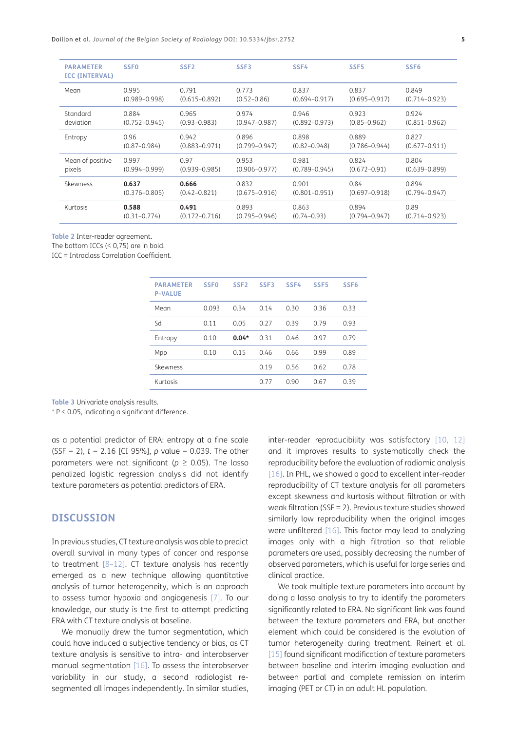| <b>PARAMETER</b><br><b>ICC (INTERVAL)</b> | <b>SSFO</b>       | SSF <sub>2</sub>  | SSF3              | SSF4              | SSF <sub>5</sub>  | SSF <sub>6</sub>  |
|-------------------------------------------|-------------------|-------------------|-------------------|-------------------|-------------------|-------------------|
| Mean                                      | 0.995             | 0.791             | 0.773             | 0.837             | 0.837             | 0.849             |
|                                           | $(0.989 - 0.998)$ | $(0.615 - 0.892)$ | $(0.52 - 0.86)$   | $(0.694 - 0.917)$ | $(0.695 - 0.917)$ | $(0.714 - 0.923)$ |
| Standard                                  | 0.884             | 0.965             | 0.974             | 0.946             | 0.923             | 0.924             |
| deviation                                 | $(0.752 - 0.945)$ | $(0.93 - 0.983)$  | $(0.947 - 0.987)$ | $(0.892 - 0.973)$ | $(0.85 - 0.962)$  | $(0.851 - 0.962)$ |
| Entropy                                   | 0.96              | 0.942             | 0.896             | 0.898             | 0.889             | 0.827             |
|                                           | $(0.87 - 0.984)$  | $(0.883 - 0.971)$ | $(0.799 - 0.947)$ | $(0.82 - 0.948)$  | $(0.786 - 0.944)$ | $(0.677 - 0.911)$ |
| Mean of positive                          | 0.997             | 0.97              | 0.953             | 0.981             | 0.824             | 0.804             |
| pixels                                    | $(0.994 - 0.999)$ | $(0.939 - 0.985)$ | $(0.906 - 0.977)$ | $(0.789 - 0.945)$ | $(0.672 - 0.91)$  | $(0.639 - 0.899)$ |
| Skewness                                  | 0.637             | 0.666             | 0.832             | 0.901             | 0.84              | 0.894             |
|                                           | $(0.376 - 0.805)$ | $(0.42 - 0.821)$  | $(0.675 - 0.916)$ | $(0.801 - 0.951)$ | $(0.697 - 0.918)$ | $(0.794 - 0.947)$ |
| Kurtosis                                  | 0.588             | 0.491             | 0.893             | 0.863             | 0.894             | 0.89              |
|                                           | $(0.31 - 0.774)$  | $(0.172 - 0.716)$ | $(0.795 - 0.946)$ | $(0.74 - 0.93)$   | $(0.794 - 0.947)$ | $(0.714 - 0.923)$ |
|                                           |                   |                   |                   |                   |                   |                   |

<span id="page-4-0"></span>**Table 2** Inter-reader agreement.

The bottom ICCs  $( $0.75$ )$  are in bold.

ICC = Intraclass Correlation Coefficient.

| <b>PARAMETER</b><br><b>P-VALUE</b> | <b>SSF0</b> | SSF <sub>2</sub> | SSF3 | SSF4 | SSF <sub>5</sub> | SSF <sub>6</sub> |
|------------------------------------|-------------|------------------|------|------|------------------|------------------|
| Mean                               | 0.093       | 0.34             | 0.14 | 0.30 | 0.36             | 0.33             |
| Sd                                 | 0.11        | 0.05             | 0.27 | 0.39 | 0.79             | 0.93             |
| Entropy                            | 0.10        | $0.04*$          | 0.31 | 0.46 | 0.97             | 0.79             |
| Mpp                                | 0.10        | 0.15             | 0.46 | 0.66 | 0.99             | 0.89             |
| Skewness                           |             |                  | 0.19 | 0.56 | 0.62             | 0.78             |
| Kurtosis                           |             |                  | 0.77 | 0.90 | 0.67             | 0.39             |

<span id="page-4-1"></span>**Table 3** Univariate analysis results.

\* P < 0.05, indicating a significant difference.

as a potential predictor of ERA: entropy at a fine scale (SSF = 2), *t* = 2.16 [CI 95%], *p* value = 0.039. The other parameters were not significant ( $p \ge 0.05$ ). The lasso penalized logistic regression analysis did not identify texture parameters as potential predictors of ERA.

### **DISCUSSION**

In previous studies, CT texture analysis was able to predict overall survival in many types of cancer and response to treatment [8–12]. CT texture analysis has recently emerged as a new technique allowing quantitative analysis of tumor heterogeneity, which is an approach to assess tumor hypoxia and angiogenesis [\[7\]](#page-5-5). To our knowledge, our study is the first to attempt predicting ERA with CT texture analysis at baseline.

We manually drew the tumor segmentation, which could have induced a subjective tendency or bias, as CT texture analysis is sensitive to intra- and interobserver manual segmentation [[16\]](#page-6-1). To assess the interobserver variability in our study, a second radiologist resegmented all images independently. In similar studies,

inter-reader reproducibility was satisfactory [\[10](#page-6-3), 12] and it improves results to systematically check the reproducibility before the evaluation of radiomic analysis [[16](#page-6-1)]. In PHL, we showed a good to excellent inter-reader reproducibility of CT texture analysis for all parameters except skewness and kurtosis without filtration or with weak filtration (SSF = 2). Previous texture studies showed similarly low reproducibility when the original images were unfiltered [\[16\]](#page-6-1). This factor may lead to analyzing images only with a high filtration so that reliable parameters are used, possibly decreasing the number of observed parameters, which is useful for large series and clinical practice.

We took multiple texture parameters into account by doing a lasso analysis to try to identify the parameters significantly related to ERA. No significant link was found between the texture parameters and ERA, but another element which could be considered is the evolution of tumor heterogeneity during treatment. Reinert et al. [15] found significant modification of texture parameters between baseline and interim imaging evaluation and between partial and complete remission on interim imaging (PET or CT) in an adult HL population.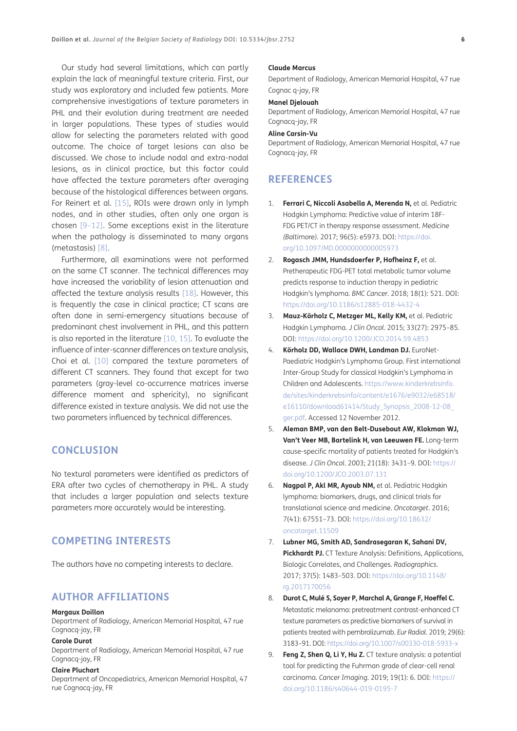Our study had several limitations, which can partly explain the lack of meaningful texture criteria. First, our study was exploratory and included few patients. More comprehensive investigations of texture parameters in PHL and their evolution during treatment are needed in larger populations. These types of studies would allow for selecting the parameters related with good outcome. The choice of target lesions can also be discussed. We chose to include nodal and extra-nodal lesions, as in clinical practice, but this factor could have affected the texture parameters after averaging because of the histological differences between organs. For Reinert et al. [15], ROIs were drawn only in lymph nodes, and in other studies, often only one organ is chosen [\[9–](#page-5-6)12]. Some exceptions exist in the literature when the pathology is disseminated to many organs (metastasis) [8].

Furthermore, all examinations were not performed on the same CT scanner. The technical differences may have increased the variability of lesion attenuation and affected the texture analysis results [[18](#page-6-4)]. However, this is frequently the case in clinical practice; CT scans are often done in semi-emergency situations because of predominant chest involvement in PHL, and this pattern is also reported in the literature [\[10,](#page-6-3) 15]. To evaluate the influence of inter-scanner differences on texture analysis, Choi et al. [[10\]](#page-6-3) compared the texture parameters of different CT scanners. They found that except for two parameters (gray-level co-occurrence matrices inverse difference moment and sphericity), no significant difference existed in texture analysis. We did not use the two parameters influenced by technical differences.

# **CONCLUSION**

No textural parameters were identified as predictors of ERA after two cycles of chemotherapy in PHL. A study that includes a larger population and selects texture parameters more accurately would be interesting.

# **COMPETING INTERESTS**

The authors have no competing interests to declare.

# <span id="page-5-0"></span>**AUTHOR AFFILIATIONS**

### **Margaux Doillon**

Department of Radiology, American Memorial Hospital, 47 rue Cognacq-jay, FR

### **Carole Durot**

Department of Radiology, American Memorial Hospital, 47 rue Cognacq-jay, FR

#### **Claire Pluchart**

Department of Oncopediatrics, American Memorial Hospital, 47 rue Cognacq-jay, FR

#### **Claude Marcus**

Department of Radiology, American Memorial Hospital, 47 rue Cognac q-jay, FR

### **Manel Djelouah**

Department of Radiology, American Memorial Hospital, 47 rue Cognacq-jay, FR

#### **Aline Carsin-Vu**

Department of Radiology, American Memorial Hospital, 47 rue Cognacq-jay, FR

# **REFERENCES**

- <span id="page-5-1"></span>1. **Ferrari C, Niccoli Asabella A, Merenda N,** et al. Pediatric Hodgkin Lymphoma: Predictive value of interim 18F-FDG PET/CT in therapy response assessment. *Medicine (Baltimore)*. 2017; 96(5): e5973. DOI: [https://doi.](https://doi.org/10.1097/MD.0000000000005973) [org/10.1097/MD.0000000000005973](https://doi.org/10.1097/MD.0000000000005973)
- <span id="page-5-2"></span>2. **Rogasch JMM, Hundsdoerfer P, Hofheinz F,** et al. Pretherapeutic FDG-PET total metabolic tumor volume predicts response to induction therapy in pediatric Hodgkin's lymphoma. *BMC Cancer*. 2018; 18(1): 521. DOI: <https://doi.org/10.1186/s12885-018-4432-4>
- 3. **Mauz-Körholz C, Metzger ML, Kelly KM,** et al. Pediatric Hodgkin Lymphoma. *J Clin Oncol*. 2015; 33(27): 2975–85. DOI: <https://doi.org/10.1200/JCO.2014.59.4853>
- 4. **Körholz DD, Wallace DWH, Landman DJ.** EuroNet-Paediatric Hodgkin's Lymphoma Group. First international Inter-Group Study for classical Hodgkin's Lymphoma in Children and Adolescents. [https://www.kinderkrebsinfo.](https://www.kinderkrebsinfo.de/sites/kinderkrebsinfo/content/e1676/e9032/e68518/e16110/download61414/Study_Synopsis_2008-12-08_ger.pdf) [de/sites/kinderkrebsinfo/content/e1676/e9032/e68518/](https://www.kinderkrebsinfo.de/sites/kinderkrebsinfo/content/e1676/e9032/e68518/e16110/download61414/Study_Synopsis_2008-12-08_ger.pdf) [e16110/download61414/Study\\_Synopsis\\_2008-12-08\\_](https://www.kinderkrebsinfo.de/sites/kinderkrebsinfo/content/e1676/e9032/e68518/e16110/download61414/Study_Synopsis_2008-12-08_ger.pdf) [ger.pdf](https://www.kinderkrebsinfo.de/sites/kinderkrebsinfo/content/e1676/e9032/e68518/e16110/download61414/Study_Synopsis_2008-12-08_ger.pdf). Accessed 12 November 2012.
- <span id="page-5-3"></span>5. **Aleman BMP, van den Belt-Dusebout AW, Klokman WJ, Van't Veer MB, Bartelink H, van Leeuwen FE.** Long-term cause-specific mortality of patients treated for Hodgkin's disease. *J Clin Oncol*. 2003; 21(18): 3431–9. DOI: [https://](https://doi.org/10.1200/JCO.2003.07.131) [doi.org/10.1200/JCO.2003.07.131](https://doi.org/10.1200/JCO.2003.07.131)
- <span id="page-5-4"></span>6. **Nagpal P, Akl MR, Ayoub NM,** et al. Pediatric Hodgkin lymphoma: biomarkers, drugs, and clinical trials for translational science and medicine. *Oncotarget*. 2016; 7(41): 67551–73. DOI: [https://doi.org/10.18632/](https://doi.org/10.18632/oncotarget.11509) [oncotarget.11509](https://doi.org/10.18632/oncotarget.11509)
- <span id="page-5-5"></span>7. **Lubner MG, Smith AD, Sandrasegaran K, Sahani DV, Pickhardt PJ.** CT Texture Analysis: Definitions, Applications, Biologic Correlates, and Challenges. *Radiographics*. 2017; 37(5): 1483–503. DOI: [https://doi.org/10.1148/](https://doi.org/10.1148/rg.2017170056) [rg.2017170056](https://doi.org/10.1148/rg.2017170056)
- 8. **Durot C, Mulé S, Soyer P, Marchal A, Grange F, Hoeffel C.** Metastatic melanoma: pretreatment contrast-enhanced CT texture parameters as predictive biomarkers of survival in patients treated with pembrolizumab. *Eur Radiol*. 2019; 29(6): 3183–91. DOI:<https://doi.org/10.1007/s00330-018-5933-x>
- <span id="page-5-6"></span>9. **Feng Z, Shen Q, Li Y, Hu Z.** CT texture analysis: a potential tool for predicting the Fuhrman grade of clear-cell renal carcinoma. *Cancer Imaging*. 2019; 19(1): 6. DOI: [https://](https://doi.org/10.1186/s40644-019-0195-7) [doi.org/10.1186/s40644-019-0195-7](https://doi.org/10.1186/s40644-019-0195-7)